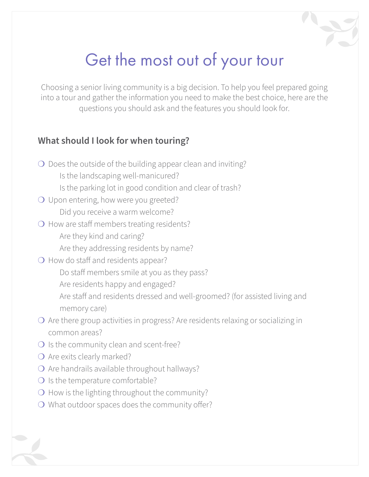# Get the most out of your tour

Choosing a senior living community is a big decision. To help you feel prepared going into a tour and gather the information you need to make the best choice, here are the questions you should ask and the features you should look for.

### **What should I look for when touring?**

- ❍ Does the outside of the building appear clean and inviting?
	- Is the landscaping well-manicured?
	- Is the parking lot in good condition and clear of trash?
- O Upon entering, how were you greeted? Did you receive a warm welcome?
- ❍ How are staff members treating residents? Are they kind and caring?
	- Are they addressing residents by name?
- O How do staff and residents appear?
	- Do staff members smile at you as they pass?
	- Are residents happy and engaged?
	- Are staff and residents dressed and well-groomed? (for assisted living and memory care)
- ❍ Are there group activities in progress? Are residents relaxing or socializing in common areas?
- O Is the community clean and scent-free?
- O Are exits clearly marked?
- ❍ Are handrails available throughout hallways?
- ❍ Is the temperature comfortable?
- ❍ How is the lighting throughout the community?
- ❍ What outdoor spaces does the community offer?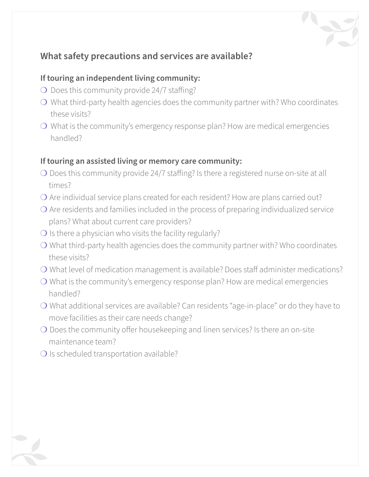## **What safety precautions and services are available?**

#### **If touring an independent living community:**

- ❍ Does this community provide 24/7 staffing?
- ❍ What third-party health agencies does the community partner with? Who coordinates these visits?
- ❍ What is the community's emergency response plan? How are medical emergencies handled?

#### **If touring an assisted living or memory care community:**

- ❍ Does this community provide 24/7 staffing? Is there a registered nurse on-site at all times?
- ❍ Are individual service plans created for each resident? How are plans carried out?
- ❍ Are residents and families included in the process of preparing individualized service plans? What about current care providers?
- $\bigcirc$  Is there a physician who visits the facility regularly?
- ❍ What third-party health agencies does the community partner with? Who coordinates these visits?
- ❍ What level of medication management is available? Does staff administer medications?
- ❍ What is the community's emergency response plan? How are medical emergencies handled?
- ❍ What additional services are available? Can residents "age-in-place" or do they have to move facilities as their care needs change?
- ❍ Does the community offer housekeeping and linen services? Is there an on-site maintenance team?
- O Is scheduled transportation available?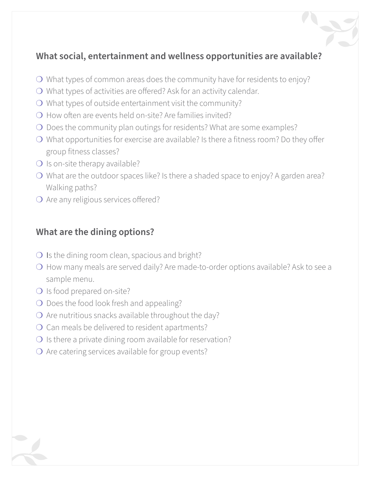## **What social, entertainment and wellness opportunities are available?**

- ❍ What types of common areas does the community have for residents to enjoy?
- ❍ What types of activities are offered? Ask for an activity calendar.
- ❍ What types of outside entertainment visit the community?
- $\Omega$  How often are events held on-site? Are families invited?
- ❍ Does the community plan outings for residents? What are some examples?
- ❍ What opportunities for exercise are available? Is there a fitness room? Do they offer group fitness classes?
- ❍ Is on-site therapy available?
- ❍ What are the outdoor spaces like? Is there a shaded space to enjoy? A garden area? Walking paths?
- O Are any religious services offered?

## **What are the dining options?**

- $\bigcirc$  Is the dining room clean, spacious and bright?
- ❍ How many meals are served daily? Are made-to-order options available? Ask to see a sample menu.
- O Is food prepared on-site?
- ❍ Does the food look fresh and appealing?
- $\overline{O}$  Are nutritious snacks available throughout the day?
- ❍ Can meals be delivered to resident apartments?
- $\bigcirc$  Is there a private dining room available for reservation?
- ❍ Are catering services available for group events?